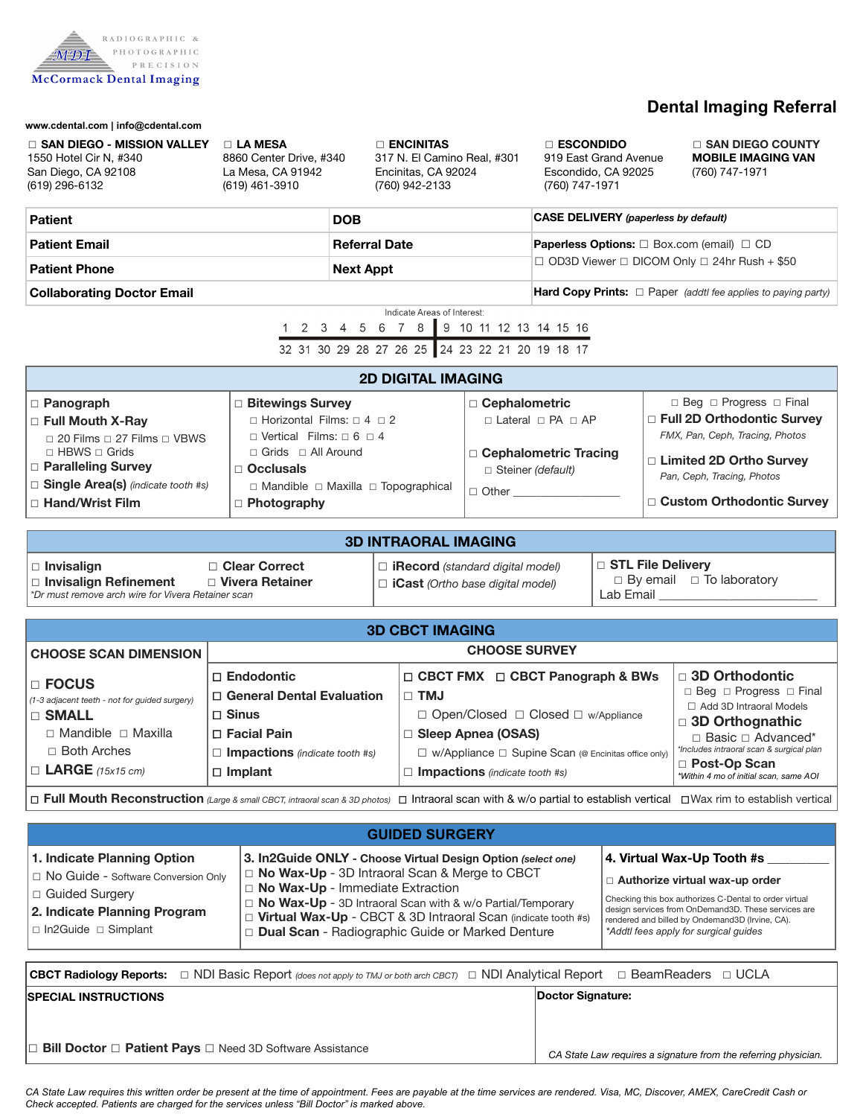

# **Dental Imaging Referral**

 *CA State Law requires a signature from the referring physician.* 

| www.cdental.com   info@cdental.com<br>□ SAN DIEGO - MISSION VALLEY<br>$\Box$ LA MESA<br>1550 Hotel Cir N, #340<br>8860 Center Drive, #340<br>La Mesa, CA 91942<br>San Diego, CA 92108<br>(619) 296-6132<br>(619) 461-3910<br><b>Patient</b><br><b>Patient Email</b><br><b>Patient Phone</b><br><b>Collaborating Doctor Email</b>                                                                                                                                                                                 |                                                                                                                                               | <b>DENCINITAS</b><br>317 N. El Camino Real, #301<br>Encinitas, CA 92024<br>(760) 942-2133<br><b>DOB</b><br><b>Referral Date</b><br><b>Next Appt</b><br>Indicate Areas of Interest:<br>1 2 3 4 5 6 7 8<br>9 10 11 12 13 14 15 16 |                                                                                                                                                                                                     | $\Box$ ESCONDIDO<br>919 East Grand Avenue<br>Escondido, CA 92025<br>(760) 747-1971<br><b>CASE DELIVERY</b> (paperless by default)<br>Paperless Options: □ Box.com (email) □ CD<br>□ OD3D Viewer □ DICOM Only □ 24hr Rush + \$50                                             |                                                                                                                       |                                                                                                                                                                                                                                         | □ SAN DIEGO COUNTY<br><b>MOBILE IMAGING VAN</b><br>(760) 747-1971<br>Hard Copy Prints: $\Box$ Paper (addtl fee applies to paying party) |                                                                                                                                                                                                      |  |
|------------------------------------------------------------------------------------------------------------------------------------------------------------------------------------------------------------------------------------------------------------------------------------------------------------------------------------------------------------------------------------------------------------------------------------------------------------------------------------------------------------------|-----------------------------------------------------------------------------------------------------------------------------------------------|---------------------------------------------------------------------------------------------------------------------------------------------------------------------------------------------------------------------------------|-----------------------------------------------------------------------------------------------------------------------------------------------------------------------------------------------------|-----------------------------------------------------------------------------------------------------------------------------------------------------------------------------------------------------------------------------------------------------------------------------|-----------------------------------------------------------------------------------------------------------------------|-----------------------------------------------------------------------------------------------------------------------------------------------------------------------------------------------------------------------------------------|-----------------------------------------------------------------------------------------------------------------------------------------|------------------------------------------------------------------------------------------------------------------------------------------------------------------------------------------------------|--|
| 32 31 30 29 28 27 26 25 24 23 22 21 20 19 18 17                                                                                                                                                                                                                                                                                                                                                                                                                                                                  |                                                                                                                                               |                                                                                                                                                                                                                                 |                                                                                                                                                                                                     |                                                                                                                                                                                                                                                                             |                                                                                                                       |                                                                                                                                                                                                                                         |                                                                                                                                         |                                                                                                                                                                                                      |  |
| <b>2D DIGITAL IMAGING</b>                                                                                                                                                                                                                                                                                                                                                                                                                                                                                        |                                                                                                                                               |                                                                                                                                                                                                                                 |                                                                                                                                                                                                     |                                                                                                                                                                                                                                                                             |                                                                                                                       |                                                                                                                                                                                                                                         |                                                                                                                                         |                                                                                                                                                                                                      |  |
| □ Panograph<br>□ Bitewings Survey<br>$\Box$ Horizontal Films: $\Box$ 4 $\Box$ 2<br>□ Full Mouth X-Ray<br>$\Box$ Vertical Films: $\Box$ 6 $\Box$ 4<br>$\Box$ 20 Films $\Box$ 27 Films $\Box$ VBWS<br>□ HBWS □ Grids<br>□ Grids □ All Around<br>□ Paralleling Survey<br>$\Box$ Occlusals<br>□ Single Area(s) (indicate tooth #s)<br>□ Hand/Wrist Film<br>$\Box$ Photography                                                                                                                                        |                                                                                                                                               | $\Box$ Mandible $\Box$ Maxilla $\Box$ Topographical                                                                                                                                                                             |                                                                                                                                                                                                     |                                                                                                                                                                                                                                                                             | □ Cephalometric<br>$\Box$ Lateral $\Box$ PA $\Box$ AP<br>□ Cephalometric Tracing<br>Steiner (default)<br>$\Box$ Other |                                                                                                                                                                                                                                         |                                                                                                                                         | $\Box$ Beg $\Box$ Progress $\Box$ Final<br>□ Full 2D Orthodontic Survey<br>FMX, Pan, Ceph, Tracing, Photos<br>□ Limited 2D Ortho Survey<br>Pan, Ceph, Tracing, Photos<br>□ Custom Orthodontic Survey |  |
| <b>3D INTRAORAL IMAGING</b>                                                                                                                                                                                                                                                                                                                                                                                                                                                                                      |                                                                                                                                               |                                                                                                                                                                                                                                 |                                                                                                                                                                                                     |                                                                                                                                                                                                                                                                             |                                                                                                                       |                                                                                                                                                                                                                                         |                                                                                                                                         |                                                                                                                                                                                                      |  |
| □ Clear Correct<br>$\Box$ Invisalign<br>□ Vivera Retainer<br>□ Invisalign Refinement<br>*Dr must remove arch wire for Vivera Retainer scan                                                                                                                                                                                                                                                                                                                                                                       |                                                                                                                                               |                                                                                                                                                                                                                                 | $\Box$ <b>iRecord</b> (standard digital model)<br>$\Box$ iCast (Ortho base digital model)                                                                                                           |                                                                                                                                                                                                                                                                             |                                                                                                                       | □ STL File Delivery<br>$\Box$ By email $\Box$ To laboratory<br>Lab Email _____________                                                                                                                                                  |                                                                                                                                         |                                                                                                                                                                                                      |  |
| <b>3D CBCT IMAGING</b>                                                                                                                                                                                                                                                                                                                                                                                                                                                                                           |                                                                                                                                               |                                                                                                                                                                                                                                 |                                                                                                                                                                                                     |                                                                                                                                                                                                                                                                             |                                                                                                                       |                                                                                                                                                                                                                                         |                                                                                                                                         |                                                                                                                                                                                                      |  |
| <b>CHOOSE SCAN DIMENSION</b>                                                                                                                                                                                                                                                                                                                                                                                                                                                                                     | <b>CHOOSE SURVEY</b>                                                                                                                          |                                                                                                                                                                                                                                 |                                                                                                                                                                                                     |                                                                                                                                                                                                                                                                             |                                                                                                                       |                                                                                                                                                                                                                                         |                                                                                                                                         |                                                                                                                                                                                                      |  |
| $\Box$ FOCUS<br>(1-3 adjacent teeth - not for guided surgery)<br>$\Box$ SMALL<br>$\Box$ Mandible $\Box$ Maxilla<br>□ Both Arches<br>$\Box$ LARGE (15x15 cm)                                                                                                                                                                                                                                                                                                                                                      | $\Box$ Endodontic<br>□ General Dental Evaluation<br>$\square$ Sinus<br>$\Box$ Facial Pain<br>Impactions (indicate tooth #s)<br>$\Box$ Implant | $\square$ TMJ                                                                                                                                                                                                                   | □ CBCT FMX □ CBCT Panograph & BWs<br>□ Open/Closed □ Closed □ w/Appliance<br>□ Sleep Apnea (OSAS)<br>□ w/Appliance □ Supine Scan (@ Encinitas office only)<br>$\Box$ Impactions (indicate tooth #s) |                                                                                                                                                                                                                                                                             |                                                                                                                       | □ 3D Orthodontic<br>□ Beg □ Progress □ Final<br>□ Add 3D Intraoral Models<br>□ 3D Orthognathic<br>$\Box$ Basic $\Box$ Advanced*<br>*Includes intraoral scan & surgical plan<br>□ Post-Op Scan<br>*Within 4 mo of initial scan, same AOI |                                                                                                                                         |                                                                                                                                                                                                      |  |
| $\Box$ Full Mouth Reconstruction (Large & small CBCT, intraoral scan & 3D photos) $\Box$ Intraoral scan with & w/o partial to establish vertical $\Box$ Wax rim to establish vertical                                                                                                                                                                                                                                                                                                                            |                                                                                                                                               |                                                                                                                                                                                                                                 |                                                                                                                                                                                                     |                                                                                                                                                                                                                                                                             |                                                                                                                       |                                                                                                                                                                                                                                         |                                                                                                                                         |                                                                                                                                                                                                      |  |
| <b>GUIDED SURGERY</b>                                                                                                                                                                                                                                                                                                                                                                                                                                                                                            |                                                                                                                                               |                                                                                                                                                                                                                                 |                                                                                                                                                                                                     |                                                                                                                                                                                                                                                                             |                                                                                                                       |                                                                                                                                                                                                                                         |                                                                                                                                         |                                                                                                                                                                                                      |  |
| 1. Indicate Planning Option<br>3. In2Guide ONLY - Choose Virtual Design Option (select one)<br>□ No Wax-Up - 3D Intraoral Scan & Merge to CBCT<br>□ No Guide - Software Conversion Only<br>$\Box$ No Wax-Up - Immediate Extraction<br>□ Guided Surgery<br>□ No Wax-Up - 3D Intraoral Scan with & w/o Partial/Temporary<br>2. Indicate Planning Program<br>□ Virtual Wax-Up - CBCT & 3D Intraoral Scan (indicate tooth #s)<br>$\Box$ In2Guide $\Box$ Simplant<br>Dual Scan - Radiographic Guide or Marked Denture |                                                                                                                                               |                                                                                                                                                                                                                                 |                                                                                                                                                                                                     | 4. Virtual Wax-Up Tooth #s<br>□ Authorize virtual wax-up order<br>Checking this box authorizes C-Dental to order virtual<br>design services from OnDemand3D. These services are<br>rendered and billed by Ondemand3D (Irvine, CA).<br>*Addtl fees apply for surgical quides |                                                                                                                       |                                                                                                                                                                                                                                         |                                                                                                                                         |                                                                                                                                                                                                      |  |
| □ NDI Basic Report (does not apply to TMJ or both arch CBCT) □ NDI Analytical Report □ BeamReaders □ UCLA<br><b>CBCT Radiology Reports:</b>                                                                                                                                                                                                                                                                                                                                                                      |                                                                                                                                               |                                                                                                                                                                                                                                 |                                                                                                                                                                                                     |                                                                                                                                                                                                                                                                             |                                                                                                                       |                                                                                                                                                                                                                                         |                                                                                                                                         |                                                                                                                                                                                                      |  |
| <b>SPECIAL INSTRUCTIONS</b>                                                                                                                                                                                                                                                                                                                                                                                                                                                                                      |                                                                                                                                               |                                                                                                                                                                                                                                 |                                                                                                                                                                                                     |                                                                                                                                                                                                                                                                             | Doctor Signature:                                                                                                     |                                                                                                                                                                                                                                         |                                                                                                                                         |                                                                                                                                                                                                      |  |
| □ Bill Doctor □ Patient Pays □ Need 3D Software Assistance                                                                                                                                                                                                                                                                                                                                                                                                                                                       |                                                                                                                                               |                                                                                                                                                                                                                                 |                                                                                                                                                                                                     |                                                                                                                                                                                                                                                                             |                                                                                                                       |                                                                                                                                                                                                                                         |                                                                                                                                         |                                                                                                                                                                                                      |  |

 *CA State Law requires this written order be present at the time of appointment. Fees are payable at the time services are rendered. Visa, MC, Discover, AMEX, CareCredit Cash or Check accepted. Patients are charged for the services unless "Bill Doctor" is marked above.*